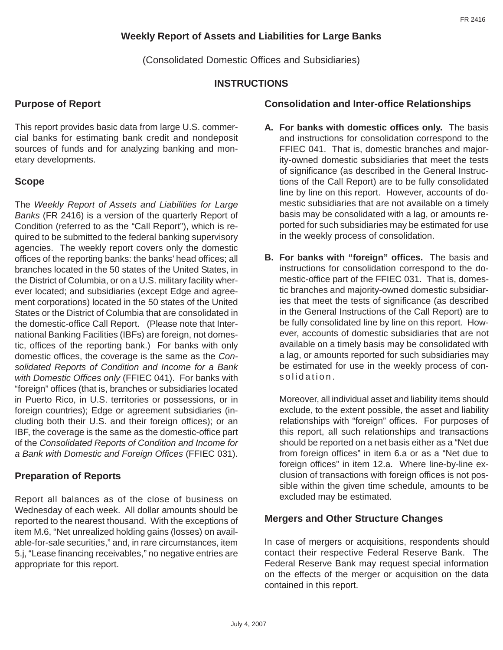# **Weekly Report of Assets and Liabilities for Large Banks**

(Consolidated Domestic Offices and Subsidiaries)

## **INSTRUCTIONS**

## **Purpose of Report**

This report provides basic data from large U.S. commercial banks for estimating bank credit and nondeposit sources of funds and for analyzing banking and monetary developments.

## **Scope**

The *Weekly Report of Assets and Liabilities for Large Banks* (FR 2416) is a version of the quarterly Report of Condition (referred to as the "Call Report"), which is required to be submitted to the federal banking supervisory agencies. The weekly report covers only the domestic offices of the reporting banks: the banks' head offices; all branches located in the 50 states of the United States, in the District of Columbia, or on a U.S. military facility wherever located; and subsidiaries (except Edge and agreement corporations) located in the 50 states of the United States or the District of Columbia that are consolidated in the domestic-office Call Report. (Please note that International Banking Facilities (IBFs) are foreign, not domestic, offices of the reporting bank.) For banks with only domestic offices, the coverage is the same as the *Consolidated Reports of Condition and Income for a Bank with Domestic Offices only* (FFIEC 041). For banks with "foreign" offices (that is, branches or subsidiaries located in Puerto Rico, in U.S. territories or possessions, or in foreign countries); Edge or agreement subsidiaries (including both their U.S. and their foreign offices); or an IBF, the coverage is the same as the domestic-office part of the *Consolidated Reports of Condition and Income for a Bank with Domestic and Foreign Offices* (FFIEC 031).

## **Preparation of Reports**

Report all balances as of the close of business on Wednesday of each week. All dollar amounts should be reported to the nearest thousand. With the exceptions of item M.6, "Net unrealized holding gains (losses) on available-for-sale securities," and, in rare circumstances, item 5.j, "Lease financing receivables," no negative entries are appropriate for this report.

### **Consolidation and Inter-office Relationships**

- **A. For banks with domestic offices only.** The basis and instructions for consolidation correspond to the FFIEC 041. That is, domestic branches and majority-owned domestic subsidiaries that meet the tests of significance (as described in the General Instructions of the Call Report) are to be fully consolidated line by line on this report. However, accounts of domestic subsidiaries that are not available on a timely basis may be consolidated with a lag, or amounts reported for such subsidiaries may be estimated for use in the weekly process of consolidation.
- **B. For banks with "foreign" offices.** The basis and instructions for consolidation correspond to the domestic-office part of the FFIEC 031. That is, domestic branches and majority-owned domestic subsidiaries that meet the tests of significance (as described in the General Instructions of the Call Report) are to be fully consolidated line by line on this report. However, accounts of domestic subsidiaries that are not available on a timely basis may be consolidated with a lag, or amounts reported for such subsidiaries may be estimated for use in the weekly process of consolidation.

Moreover, all individual asset and liability items should exclude, to the extent possible, the asset and liability relationships with "foreign" offices. For purposes of this report, all such relationships and transactions should be reported on a net basis either as a "Net due from foreign offices" in item 6.a or as a "Net due to foreign offices" in item 12.a. Where line-by-line exclusion of transactions with foreign offices is not possible within the given time schedule, amounts to be excluded may be estimated.

## **Mergers and Other Structure Changes**

In case of mergers or acquisitions, respondents should contact their respective Federal Reserve Bank. The Federal Reserve Bank may request special information on the effects of the merger or acquisition on the data contained in this report.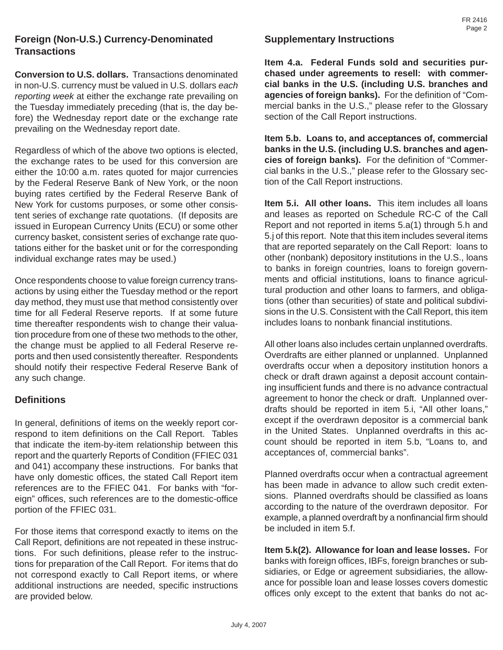## **Foreign (Non-U.S.) Currency-Denominated Transactions**

**Conversion to U.S. dollars.** Transactions denominated in non-U.S. currency must be valued in U.S. dollars *each reporting week* at either the exchange rate prevailing on the Tuesday immediately preceding (that is, the day before) the Wednesday report date or the exchange rate prevailing on the Wednesday report date.

Regardless of which of the above two options is elected, the exchange rates to be used for this conversion are either the 10:00 a.m. rates quoted for major currencies by the Federal Reserve Bank of New York, or the noon buying rates certified by the Federal Reserve Bank of New York for customs purposes, or some other consistent series of exchange rate quotations. (If deposits are issued in European Currency Units (ECU) or some other currency basket, consistent series of exchange rate quotations either for the basket unit or for the corresponding individual exchange rates may be used.)

Once respondents choose to value foreign currency transactions by using either the Tuesday method or the report day method, they must use that method consistently over time for all Federal Reserve reports. If at some future time thereafter respondents wish to change their valuation procedure from one of these two methods to the other, the change must be applied to all Federal Reserve reports and then used consistently thereafter. Respondents should notify their respective Federal Reserve Bank of any such change.

## **Definitions**

In general, definitions of items on the weekly report correspond to item definitions on the Call Report. Tables that indicate the item-by-item relationship between this report and the quarterly Reports of Condition (FFIEC 031 and 041) accompany these instructions. For banks that have only domestic offices, the stated Call Report item references are to the FFIEC 041. For banks with "foreign" offices, such references are to the domestic-office portion of the FFIEC 031.

For those items that correspond exactly to items on the Call Report, definitions are not repeated in these instructions. For such definitions, please refer to the instructions for preparation of the Call Report. For items that do not correspond exactly to Call Report items, or where additional instructions are needed, specific instructions are provided below.

#### **Supplementary Instructions**

**Item 4.a. Federal Funds sold and securities purchased under agreements to resell: with commercial banks in the U.S. (including U.S. branches and agencies of foreign banks).** For the definition of "Commercial banks in the U.S.," please refer to the Glossary section of the Call Report instructions.

**Item 5.b. Loans to, and acceptances of, commercial banks in the U.S. (including U.S. branches and agencies of foreign banks).** For the definition of "Commercial banks in the U.S.," please refer to the Glossary section of the Call Report instructions.

**Item 5.i. All other loans.** This item includes all loans and leases as reported on Schedule RC-C of the Call Report and not reported in items 5.a(1) through 5.h and 5.j of this report. Note that this item includes several items that are reported separately on the Call Report: loans to other (nonbank) depository institutions in the U.S., loans to banks in foreign countries, loans to foreign governments and official institutions, loans to finance agricultural production and other loans to farmers, and obligations (other than securities) of state and political subdivisions in the U.S. Consistent with the Call Report, this item includes loans to nonbank financial institutions.

All other loans also includes certain unplanned overdrafts. Overdrafts are either planned or unplanned. Unplanned overdrafts occur when a depository institution honors a check or draft drawn against a deposit account containing insufficient funds and there is no advance contractual agreement to honor the check or draft. Unplanned overdrafts should be reported in item 5.i, "All other loans," except if the overdrawn depositor is a commercial bank in the United States. Unplanned overdrafts in this account should be reported in item 5.b, "Loans to, and acceptances of, commercial banks".

Planned overdrafts occur when a contractual agreement has been made in advance to allow such credit extensions. Planned overdrafts should be classified as loans according to the nature of the overdrawn depositor. For example, a planned overdraft by a nonfinancial firm should be included in item 5.f.

**Item 5.k(2). Allowance for loan and lease losses.** For banks with foreign offices, IBFs, foreign branches or subsidiaries, or Edge or agreement subsidiaries, the allowance for possible loan and lease losses covers domestic offices only except to the extent that banks do not ac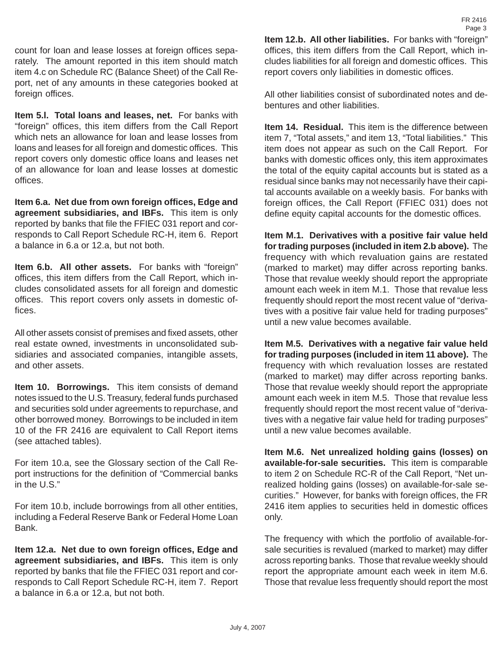count for loan and lease losses at foreign offices separately. The amount reported in this item should match item 4.c on Schedule RC (Balance Sheet) of the Call Report, net of any amounts in these categories booked at foreign offices.

**Item 5.l. Total loans and leases, net.** For banks with "foreign" offices, this item differs from the Call Report which nets an allowance for loan and lease losses from loans and leases for all foreign and domestic offices. This report covers only domestic office loans and leases net of an allowance for loan and lease losses at domestic offices.

**Item 6.a. Net due from own foreign offices, Edge and agreement subsidiaries, and IBFs.** This item is only reported by banks that file the FFIEC 031 report and corresponds to Call Report Schedule RC-H, item 6. Report a balance in 6.a or 12.a, but not both.

**Item 6.b. All other assets.** For banks with "foreign" offices, this item differs from the Call Report, which includes consolidated assets for all foreign and domestic offices. This report covers only assets in domestic offices.

All other assets consist of premises and fixed assets, other real estate owned, investments in unconsolidated subsidiaries and associated companies, intangible assets, and other assets.

**Item 10. Borrowings.** This item consists of demand notes issued to the U.S. Treasury, federal funds purchased and securities sold under agreements to repurchase, and other borrowed money. Borrowings to be included in item 10 of the FR 2416 are equivalent to Call Report items (see attached tables).

For item 10.a, see the Glossary section of the Call Report instructions for the definition of "Commercial banks in the U.S."

For item 10.b, include borrowings from all other entities, including a Federal Reserve Bank or Federal Home Loan Bank.

**Item 12.a. Net due to own foreign offices, Edge and agreement subsidiaries, and IBFs.** This item is only reported by banks that file the FFIEC 031 report and corresponds to Call Report Schedule RC-H, item 7. Report a balance in 6.a or 12.a, but not both.

**Item 12.b. All other liabilities.** For banks with "foreign" offices, this item differs from the Call Report, which includes liabilities for all foreign and domestic offices. This report covers only liabilities in domestic offices.

All other liabilities consist of subordinated notes and debentures and other liabilities.

**Item 14. Residual.** This item is the difference between item 7, "Total assets," and item 13, "Total liabilities." This item does not appear as such on the Call Report. For banks with domestic offices only, this item approximates the total of the equity capital accounts but is stated as a residual since banks may not necessarily have their capital accounts available on a weekly basis. For banks with foreign offices, the Call Report (FFIEC 031) does not define equity capital accounts for the domestic offices.

**Item M.1. Derivatives with a positive fair value held for trading purposes (included in item 2.b above).** The frequency with which revaluation gains are restated (marked to market) may differ across reporting banks. Those that revalue weekly should report the appropriate amount each week in item M.1. Those that revalue less frequently should report the most recent value of "derivatives with a positive fair value held for trading purposes" until a new value becomes available.

**Item M.5. Derivatives with a negative fair value held for trading purposes (included in item 11 above).** The frequency with which revaluation losses are restated (marked to market) may differ across reporting banks. Those that revalue weekly should report the appropriate amount each week in item M.5. Those that revalue less frequently should report the most recent value of "derivatives with a negative fair value held for trading purposes" until a new value becomes available.

**Item M.6. Net unrealized holding gains (losses) on available-for-sale securities.** This item is comparable to item 2 on Schedule RC-R of the Call Report, "Net unrealized holding gains (losses) on available-for-sale securities." However, for banks with foreign offices, the FR 2416 item applies to securities held in domestic offices only.

The frequency with which the portfolio of available-forsale securities is revalued (marked to market) may differ across reporting banks. Those that revalue weekly should report the appropriate amount each week in item M.6. Those that revalue less frequently should report the most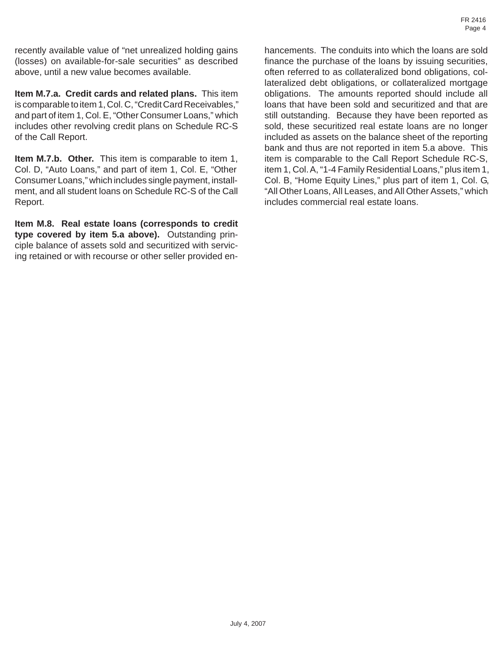recently available value of "net unrealized holding gains (losses) on available-for-sale securities" as described above, until a new value becomes available.

**Item M.7.a. Credit cards and related plans.** This item is comparable to item 1, Col. C, "Credit Card Receivables," and part of item 1, Col. E, "Other Consumer Loans," which includes other revolving credit plans on Schedule RC-S of the Call Report.

**Item M.7.b. Other.** This item is comparable to item 1, Col. D, "Auto Loans," and part of item 1, Col. E, "Other Consumer Loans," which includes single payment, installment, and all student loans on Schedule RC-S of the Call Report.

**Item M.8. Real estate loans (corresponds to credit type covered by item 5.a above).** Outstanding principle balance of assets sold and securitized with servicing retained or with recourse or other seller provided en-

hancements. The conduits into which the loans are sold finance the purchase of the loans by issuing securities, often referred to as collateralized bond obligations, collateralized debt obligations, or collateralized mortgage obligations. The amounts reported should include all loans that have been sold and securitized and that are still outstanding. Because they have been reported as sold, these securitized real estate loans are no longer included as assets on the balance sheet of the reporting bank and thus are not reported in item 5.a above. This item is comparable to the Call Report Schedule RC-S, item 1, Col. A, "1-4 Family Residential Loans," plus item 1, Col. B, "Home Equity Lines," plus part of item 1, Col. G, "All Other Loans, All Leases, and All Other Assets," which includes commercial real estate loans.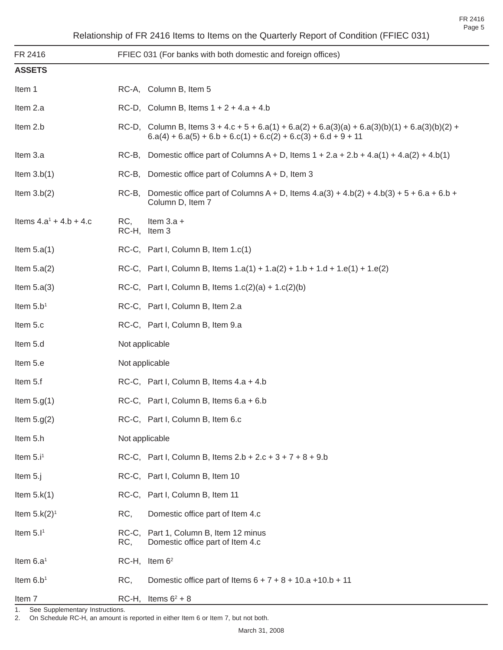| FR 2416                  | FFIEC 031 (For banks with both domestic and foreign offices)                                                                                                           |  |  |
|--------------------------|------------------------------------------------------------------------------------------------------------------------------------------------------------------------|--|--|
| <b>ASSETS</b>            |                                                                                                                                                                        |  |  |
| Item 1                   | RC-A, Column B, Item 5                                                                                                                                                 |  |  |
| Item 2.a                 | RC-D, Column B, Items $1 + 2 + 4.a + 4.b$                                                                                                                              |  |  |
| Item 2.b                 | RC-D, Column B, Items $3 + 4.c + 5 + 6.a(1) + 6.a(2) + 6.a(3)(a) + 6.a(3)(b)(1) + 6.a(3)(b)(2) +$<br>$6.a(4) + 6.a(5) + 6.b + 6.c(1) + 6.c(2) + 6.c(3) + 6.d + 9 + 11$ |  |  |
| Item 3.a                 | RC-B, Domestic office part of Columns A + D, Items $1 + 2.a + 2.b + 4.a(1) + 4.a(2) + 4.b(1)$                                                                          |  |  |
| Item $3.b(1)$            | RC-B, Domestic office part of Columns $A + D$ , Item 3                                                                                                                 |  |  |
| Item $3.b(2)$            | RC-B, Domestic office part of Columns A + D, Items $4.a(3) + 4.b(2) + 4.b(3) + 5 + 6.a + 6.b +$<br>Column D, Item 7                                                    |  |  |
| Items $4.a1 + 4.b + 4.c$ | RC,<br>Item $3.a +$<br>RC-H,<br>Item 3                                                                                                                                 |  |  |
| Item $5.a(1)$            | RC-C, Part I, Column B, Item 1.c(1)                                                                                                                                    |  |  |
| Item $5.a(2)$            | RC-C, Part I, Column B, Items $1.a(1) + 1.a(2) + 1.b + 1.d + 1.e(1) + 1.e(2)$                                                                                          |  |  |
| Item $5.a(3)$            | RC-C, Part I, Column B, Items $1.c(2)(a) + 1.c(2)(b)$                                                                                                                  |  |  |
| Item 5.b <sup>1</sup>    | RC-C, Part I, Column B, Item 2.a                                                                                                                                       |  |  |
| Item 5.c                 | RC-C, Part I, Column B, Item 9.a                                                                                                                                       |  |  |
| Item 5.d                 | Not applicable                                                                                                                                                         |  |  |
| Item 5.e                 | Not applicable                                                                                                                                                         |  |  |
| Item 5.f                 | RC-C, Part I, Column B, Items 4.a + 4.b                                                                                                                                |  |  |
| Item $5.9(1)$            | RC-C, Part I, Column B, Items $6.a + 6.b$                                                                                                                              |  |  |
| Item $5.g(2)$            | RC-C, Part I, Column B, Item 6.c                                                                                                                                       |  |  |
| Item 5.h                 | Not applicable                                                                                                                                                         |  |  |
| Item $5.i1$              | RC-C, Part I, Column B, Items $2.b + 2.c + 3 + 7 + 8 + 9.b$                                                                                                            |  |  |
| Item 5.j                 | RC-C, Part I, Column B, Item 10                                                                                                                                        |  |  |
| Item $5.k(1)$            | RC-C, Part I, Column B, Item 11                                                                                                                                        |  |  |
| Item $5.k(2)^1$          | RC,<br>Domestic office part of Item 4.c                                                                                                                                |  |  |
| Item 5.I <sup>1</sup>    | Part 1, Column B, Item 12 minus<br>RC-C,<br>RC,<br>Domestic office part of Item 4.c                                                                                    |  |  |
| Item $6.a1$              | RC-H, Item $62$                                                                                                                                                        |  |  |
| Item $6.b1$              | RC,<br>Domestic office part of Items $6 + 7 + 8 + 10.a + 10.b + 11$                                                                                                    |  |  |
| Item 7                   | RC-H, Items $6^2 + 8$                                                                                                                                                  |  |  |

1. See Supplementary Instructions.<br>2. On Schedule RC-H, an amount is 2. On Schedule RC-H, an amount is reported in either Item 6 or Item 7, but not both.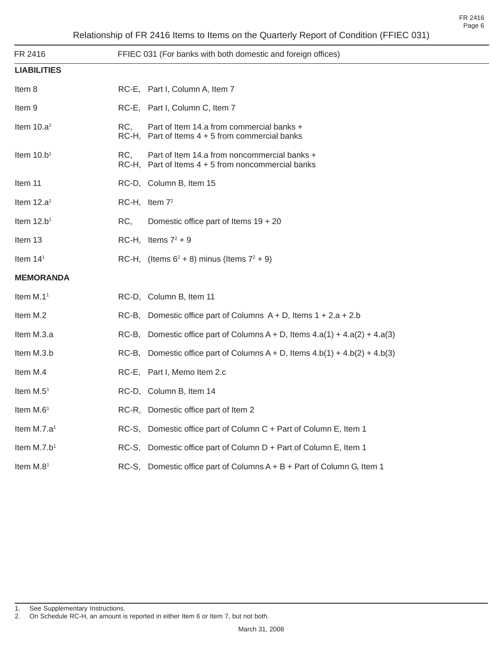| FR 2416                 | FFIEC 031 (For banks with both domestic and foreign offices) |                                                                                                      |  |
|-------------------------|--------------------------------------------------------------|------------------------------------------------------------------------------------------------------|--|
| <b>LIABILITIES</b>      |                                                              |                                                                                                      |  |
| Item 8                  |                                                              | RC-E, Part I, Column A, Item 7                                                                       |  |
| Item 9                  |                                                              | RC-E, Part I, Column C, Item 7                                                                       |  |
| Item $10.a1$            | RC,<br>RC-H,                                                 | Part of Item 14.a from commercial banks +<br>Part of Items 4 + 5 from commercial banks               |  |
| Item $10.b1$            | RC,                                                          | Part of Item 14.a from noncommercial banks +<br>RC-H, Part of Items $4 + 5$ from noncommercial banks |  |
| Item 11                 |                                                              | RC-D, Column B, Item 15                                                                              |  |
| Item $12.a1$            |                                                              | RC-H, Item 7 <sup>2</sup>                                                                            |  |
| Item $12.b1$            | RC,                                                          | Domestic office part of Items $19 + 20$                                                              |  |
| Item 13                 |                                                              | RC-H, Items $7^2 + 9$                                                                                |  |
| Item 14 <sup>1</sup>    |                                                              | RC-H, (Items $6^2 + 8$ ) minus (Items $7^2 + 9$ )                                                    |  |
| <b>MEMORANDA</b>        |                                                              |                                                                                                      |  |
| Item M.1 <sup>1</sup>   |                                                              | RC-D, Column B, Item 11                                                                              |  |
| Item M.2                |                                                              | RC-B, Domestic office part of Columns $A + D$ , Items $1 + 2.a + 2.b$                                |  |
| Item M.3.a              | RC-B,                                                        | Domestic office part of Columns $A + D$ , Items $4.a(1) + 4.a(2) + 4.a(3)$                           |  |
| Item M.3.b              |                                                              | RC-B, Domestic office part of Columns $A + D$ , Items $4.b(1) + 4.b(2) + 4.b(3)$                     |  |
| Item M.4                |                                                              | RC-E, Part I, Memo Item 2.c                                                                          |  |
| Item M.5 <sup>1</sup>   |                                                              | RC-D, Column B, Item 14                                                                              |  |
| Item M.61               |                                                              | RC-R, Domestic office part of Item 2                                                                 |  |
| Item M.7.a <sup>1</sup> |                                                              | RC-S, Domestic office part of Column C + Part of Column E, Item 1                                    |  |
| Item M.7.b <sup>1</sup> | RC-S.                                                        | Domestic office part of Column D + Part of Column E, Item 1                                          |  |
| Item M.8 <sup>1</sup>   |                                                              | RC-S, Domestic office part of Columns A + B + Part of Column G, Item 1                               |  |

1. See Supplementary Instructions.

2. On Schedule RC-H, an amount is reported in either Item 6 or Item 7, but not both.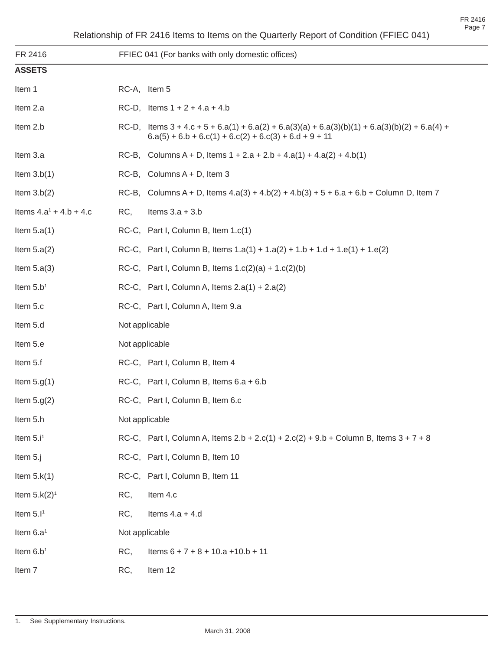| FR 2416                  |                | FFIEC 041 (For banks with only domestic offices)                                                                                                             |  |
|--------------------------|----------------|--------------------------------------------------------------------------------------------------------------------------------------------------------------|--|
| <b>ASSETS</b>            |                |                                                                                                                                                              |  |
| Item 1                   | RC-A, Item 5   |                                                                                                                                                              |  |
| Item 2.a                 |                | RC-D, Items $1 + 2 + 4.a + 4.b$                                                                                                                              |  |
| Item 2.b                 |                | RC-D, Items $3 + 4.c + 5 + 6.a(1) + 6.a(2) + 6.a(3)(a) + 6.a(3)(b)(1) + 6.a(3)(b)(2) + 6.a(4) +$<br>$6.a(5) + 6.b + 6.c(1) + 6.c(2) + 6.c(3) + 6.d + 9 + 11$ |  |
| Item 3.a                 |                | RC-B, Columns A + D, Items $1 + 2.a + 2.b + 4.a(1) + 4.a(2) + 4.b(1)$                                                                                        |  |
| Item $3.b(1)$            |                | $RC-B$ , Columns $A + D$ , Item 3                                                                                                                            |  |
| Item $3.b(2)$            |                | RC-B, Columns A + D, Items $4.a(3) + 4.b(2) + 4.b(3) + 5 + 6.a + 6.b + Column D$ , Item 7                                                                    |  |
| Items $4.a1 + 4.b + 4.c$ | RC,            | Items $3.a + 3.b$                                                                                                                                            |  |
| Item $5.a(1)$            |                | RC-C, Part I, Column B, Item 1.c(1)                                                                                                                          |  |
| Item $5.a(2)$            |                | RC-C, Part I, Column B, Items $1.a(1) + 1.a(2) + 1.b + 1.d + 1.e(1) + 1.e(2)$                                                                                |  |
| Item $5.a(3)$            |                | RC-C, Part I, Column B, Items $1.c(2)(a) + 1.c(2)(b)$                                                                                                        |  |
| Item $5.b1$              |                | RC-C, Part I, Column A, Items $2.a(1) + 2.a(2)$                                                                                                              |  |
| Item 5.c                 |                | RC-C, Part I, Column A, Item 9.a                                                                                                                             |  |
| Item 5.d                 | Not applicable |                                                                                                                                                              |  |
| Item 5.e                 | Not applicable |                                                                                                                                                              |  |
| Item 5.f                 |                | RC-C, Part I, Column B, Item 4                                                                                                                               |  |
| Item $5.9(1)$            |                | RC-C, Part I, Column B, Items $6.a + 6.b$                                                                                                                    |  |
| Item $5.g(2)$            |                | RC-C, Part I, Column B, Item 6.c                                                                                                                             |  |
| Item 5.h                 | Not applicable |                                                                                                                                                              |  |
| Item 5.i <sup>1</sup>    |                | RC-C, Part I, Column A, Items $2.b + 2.c(1) + 2.c(2) + 9.b + Column B$ , Items $3 + 7 + 8$                                                                   |  |
| Item 5.j                 |                | RC-C, Part I, Column B, Item 10                                                                                                                              |  |
| Item $5.k(1)$            |                | RC-C, Part I, Column B, Item 11                                                                                                                              |  |
| Item $5.k(2)^1$          | RC,            | Item 4.c                                                                                                                                                     |  |
| Item 5.I <sup>1</sup>    | RC,            | Items $4.a + 4.d$                                                                                                                                            |  |
| Item 6.a <sup>1</sup>    | Not applicable |                                                                                                                                                              |  |
| Item 6.b <sup>1</sup>    | RC,            | Items $6 + 7 + 8 + 10.a + 10.b + 11$                                                                                                                         |  |
| Item 7                   | RC,            | Item 12                                                                                                                                                      |  |